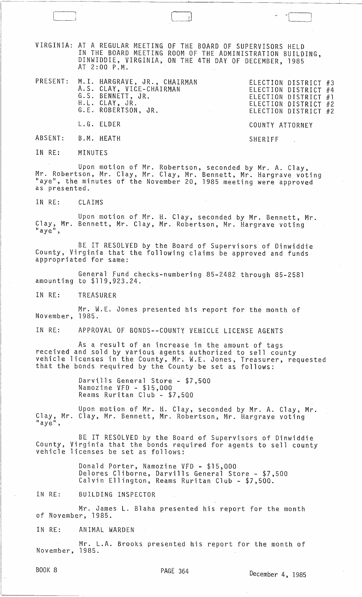VIRGINIA: AT A REGULAR MEETING OF THE BOARD OF SUPERVISORS HELD IN THE BOARD MEETING ROOM OF THE ADMINISTRATION BUILDING, DINWIDDIE, VIRGINIA, ON THE 4TH DAY OF DECEMBER, 1985 AT 2:00 P.M.

| PRESENT: M.I. HARGRAVE, JR., CHAIRMAN<br>A.S. CLAY, VICE-CHAIRMAN<br>G.S. BENNETT, JR.<br>H.L. CLAY, JR.<br>G.E. ROBERTSON, JR. | ELECTION DISTRICT #3<br>ELECTION DISTRICT #4<br>ELECTION DISTRICT $#1$<br>ELECTION DISTRICT #2<br>ELECTION DISTRICT #2 |
|---------------------------------------------------------------------------------------------------------------------------------|------------------------------------------------------------------------------------------------------------------------|
| L.G. ELDER                                                                                                                      | COUNTY ATTORNEY                                                                                                        |

SHERIFF

ABSENT: B.M. HEATH

IN RE: MINUTES

,----~----

Upon motion of Mr. Robertson, seconded by Mr. A. Clay, Mr. Robertson, Mr. Clay, Mr. Clay, Mr. Bennett, Mr. Hargrave voting "aye", the minutes of the November 20, 1985 meeting were approved as presented.

IN RE: CLAIMS

Upon motion of Mr. H. Clay, seconded by Mr. Bennett, Mr. Clay, Mr. Bennett, Mr. Clay, Mr. Robertson, Mr. Hargrave voting "aye",

BE IT RESOLVED by the Board of Supervisors of Dinwiddie County, Virginia that the following claims be approved and funds appropriated for same:

General Fund checks-numbering 85-2482 through 85-2581 amounting to \$119,923.24. .

IN RE: TREASURER

Mr. W.E. Jones presented his report for the month of November, 1985.

IN RE: APPROVAL OF BONDS--COUNTY VEHICLE LICENSE AGENTS

As a result of an increase in the amount of tags<br>received and sold by various agents authorized to sell county<br>vehicle licenses in the County, Mr. W.E. Jones, Treasurer, requested<br>that the bonds required by the County be s

Darvills General Store - \$7,500 Namazine VFD - \$15,000 Reams Ruritan Club - \$7,500

Upon motion of Mr. H. Clay, seconded by Mr. A. Clay, Mr. Clay, Mr. Clay, Mr. Bennett, Mr. Robertson, Mr. Hargrave voting "aye",

BE IT RESOLVED by the Board of Supervisors of Dinwiddie County, Virginia that the bonds required for agents to sell county vehicle licenses be set as follows:

> Donald Porter, Namozine VFD - \$15,000 Delores Cliborne, Darvills General Store - \$7,500 Calvin Ellington, Reams Ruritan Club - \$7,500.

IN RE: BUILDING INSPECTOR

Mr. James L. Blaha presented his report for the month of November, 1985.

IN RE: ANIMAL WARDEN

Mr. L.A. Brooks presented his report for the month of November, 1985.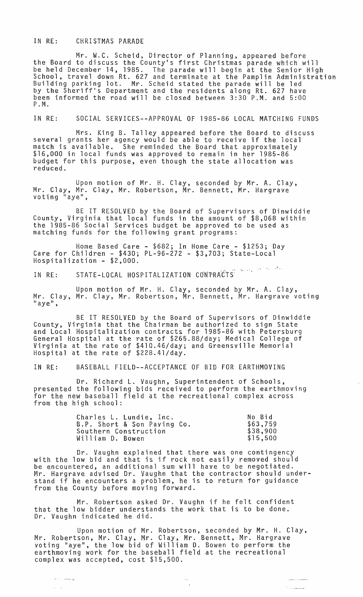## IN RE: CHRISTMAS PARADE

Mr. W.C. Scheid, Director of Planning, appeared before the Board to discuss the County's first Christmas parade which will be held December 14, 1985. The parade will begin at the Senior High<br>School, travel down Rt. 627 and terminate at the Pamplin Administration Building parking lot. Mr. Scheid stated the parade will be led by the Sheriff's Department and the residents along Rt. 627 have been informed the road will be closed between 3:30 P.M. and 5:00 P. M.

## IN RE: SOCIAL SERVICES--APPROVAL OF 1985-86 LOCAL MATCHING FUNDS

Mrs. King B. Talley appeared before the Board to discuss several grants her agency would be able to receive if the local match is available. She reminded the Board that approximately<br>\$16,000 in local funds was approved to remain in her 1985-86 budget for this purpose, even though the state allocation was reduced.

Upon motion of Mr. H. Clay, seconded by Mr. A. Clay, Mr. Clay, Mr. Clay, Mr. Robertson, Mr. Bennett, Mr. Hargrave`<br>voting "aye",

BE IT RESOLVED by the Board of Supervisors of Dinwiddie County, Virginia that local funds in the amount of \$8,068 within the 1985-86 Social Services budget be approved to be used as matching funds for the following grant programs:

Home Based Care - \$682; In Home Care - \$1253; Day Care for Children - \$430; PL-96-272 - \$3,703; State-Local Hospitalization - \$2,000.

IN RE: STATE-LOCAL HOSPITALIZATION CONTRACTS<sup>: And</sup>er the the

Upon motion of Mr. H. Clay, seconded by Mr. A. Clay,<br>Mr. Clay, Mr. Clay, Mr. Robertson, Mr. Bennett, Mr. Hargrave voting "aye",

BE IT RESOLVED by the Board of Supervisors of Dinwiddie County, Virginta that the Chairman be authorized to sign State and Local Hospitalization contracts for 1985-86 with Petersburg General Hospital at the rate of \$265.88/day; Medical College of Virginia at the rate of \$410.46/day; and Greensville Memorial Hospital at the rate of \$228.41/day.

## IN RE: BASEBALL FIELD--ACCEPTANCE OF BID FOR EARTHMOVING

Dr. Richard L. Vaughn, Superintendent of Schools, presented the following bids received to perform the earthmoving for the new baseball field at the recreational complex across from the high school:

| Charles L. Lundie, Inc.     | No Bid   |
|-----------------------------|----------|
| B.P. Short & Son Paying Co. | \$63,759 |
| Southern Construction       | \$38,900 |
| William D. Bowen            | \$15,500 |

Dr. Vaughn explained that there was one contingency with the low bid and that is if rock not easily removed should be encountered, an additional sum will have to be negotiated. Mr. Hargrave advised Dr. Vaughn that the contractor should understand if he encounters a problem, he is to return for guidance from the County before moving forward.

Mr. Robertson asked Dr. Vaughn if he felt confident that the low bidder understands the work that is to be done. Dr. Vaughn indicated he did.

Upon motion of Mr. Robertson, seconded by Mr. H. Clay, Mr. Robertson, Mr. Clay, Mr. Clay, Mr. Bennett, Mr. Hargrave vottng "aye", the low bid of William D. Bowen to perform the earthmoving work for the baseball field at the recreational complex was accepted, cost \$15,500.

 $\pm$ 

مشاملات ومعا

 $\hat{r}$  . The map

ليونسوست الدامد

 $\omega = \omega$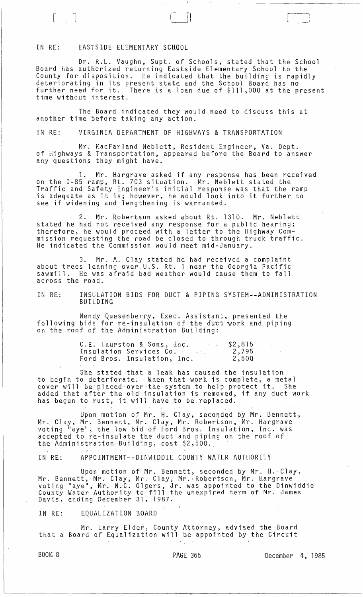IN RE: EASTSIDE ELEMENTARY SCHOOL

 $\Box$ ~\_.J

Dr. R.L. Vaughn, Supt. of Schools, stated that the School Board has authorized returning Eastside Elementary School to the County for disposition. He indicated that the building is rapidly deteriorating in its present state and the School Board has no further need for it. There is a loan due of \$111,000 at the present time without interest.

(-I) "------1

The Board indicated they would need to discuss this at another time before taking any action.

IN RE: VIRGINIA DEPARTMENT OF HIGHWAYS & TRANSPORTATION

Mr. MacFarland Neblett, Resident Engineer, Va. Dept. of Highways & Transportation, appeared before the Board to answer any questions they might have.

1. Mr. Hargrave asked if any response has been received on the 1-85 ramp, Rt. 703 situation. Mr. Neblett stated the Traffic and Safety Engineer's initial response was that the ramp is adequate as it is; however, he would look into it further to see if widening and lengthening is warranted.

2. Mr. Robertson asked about Rt. 1310. Mr. Neblett stated he had not received any response for a public hearing; therefore, he would proceed with a letter to the Highway Commission requesting the road be closed to through truck traffic. He indicated the Commission would meet mid-January.

3. Mr. A. Clay stated he had received a complaint about trees leaning over u.S. Rt. 1 near the Georgia Pacific sawmill. He was afraid bad weather would cause them to fall across the road.

IN RE.: INSULATION BIDS FOR DUCT & PIPING SYSTEM--ADMINISTRATION BUILDING

Wendy Quesenberry, Exec. Assistant, presented the following bids for re-insulation of the duct work and piping on the roof of the Administration Building:

| C.E. Thurston & Sons, Inc.        | \$2,815 |  |
|-----------------------------------|---------|--|
| Insulation Services Co. And March | 2,795   |  |
| Ford Bros. Insulation, Inc.       | 2,500   |  |

She stated that a leak has caused the insulation to begin to deteriorate. When that work is complete, a metal cover will be placed over the system to help protect it. She added that after the old insulation is removed, if any duct work has begun to rust, it will have to be replaced.

Upon motion of Mr. H. Clay, seconded by Mr. Bennett, Mr. Clay, Mr. Bennett, Mr. Clay, Mr. Robertson, Mr. Hargrave voting "aye", the low bid of Ford Bros. Insulation, Inc. was accepted to re-insulate the duct and piping on the roof of the Administration Building, cost \$2,500.

IN RE.: APPOINTMENT--DINWIDDIE COUNTY WATER AUTHORITY

Upon motion of Mr. Bennett, seconded by Mr. H. Clay, Mr. Bennett, Mr. Clay, Mr. Clay, Mr. Robertson, Mr. Hargrave wi: Benness, Mr. Biey, Mr. Biey, Mr. Wesensson, Mr. Eury, a.C. Dinwiddie County Water Authority to fill the unexpired term of Mr. James Davis, ending December 31, 1987.

IN RE: EQUALIZATION BOARD

Mr. Larry Elder, County Attorney, advised the Board that a Board of Equalization will be appointed by the Circuit